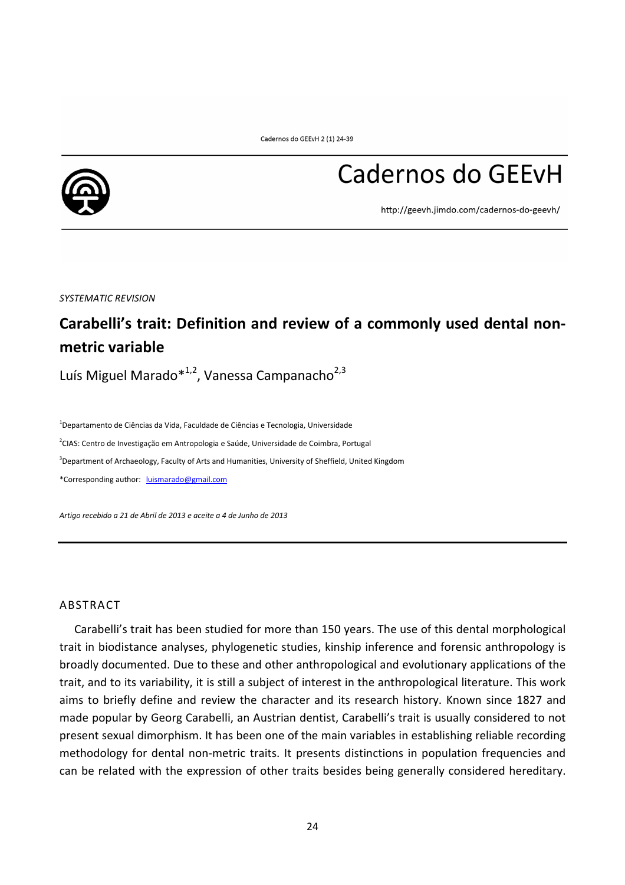

# Cadernos do GEEvH

http://geevh.jimdo.com/cadernos-do-geevh/

*SYSTEMATIC REVISION* 

## **Carabelli's trait: Definition and review of a commonly used dental nonmetric variable**

Luís Miguel Marado $*^{1,2}$ , Vanessa Campanacho $2,3$ 

<sup>1</sup>Departamento de Ciências da Vida, Faculdade de Ciências e Tecnologia, Universidade <sup>2</sup>CIAS: Centro de Investigação em Antropologia e Saúde, Universidade de Coimbra, Portugal <sup>3</sup>Department of Archaeology, Faculty of Arts and Humanities, University of Sheffield, United Kingdom

\*Corresponding author: luismarado@gmail.com

*Artigo recebido a 21 de Abril de 2013 e aceite a 4 de Junho de 2013* 

#### ABSTRACT

Carabelli's trait has been studied for more than 150 years. The use of this dental morphological trait in biodistance analyses, phylogenetic studies, kinship inference and forensic anthropology is broadly documented. Due to these and other anthropological and evolutionary applications of the trait, and to its variability, it is still a subject of interest in the anthropological literature. This work aims to briefly define and review the character and its research history. Known since 1827 and made popular by Georg Carabelli, an Austrian dentist, Carabelli's trait is usually considered to not present sexual dimorphism. It has been one of the main variables in establishing reliable recording methodology for dental non-metric traits. It presents distinctions in population frequencies and can be related with the expression of other traits besides being generally considered hereditary.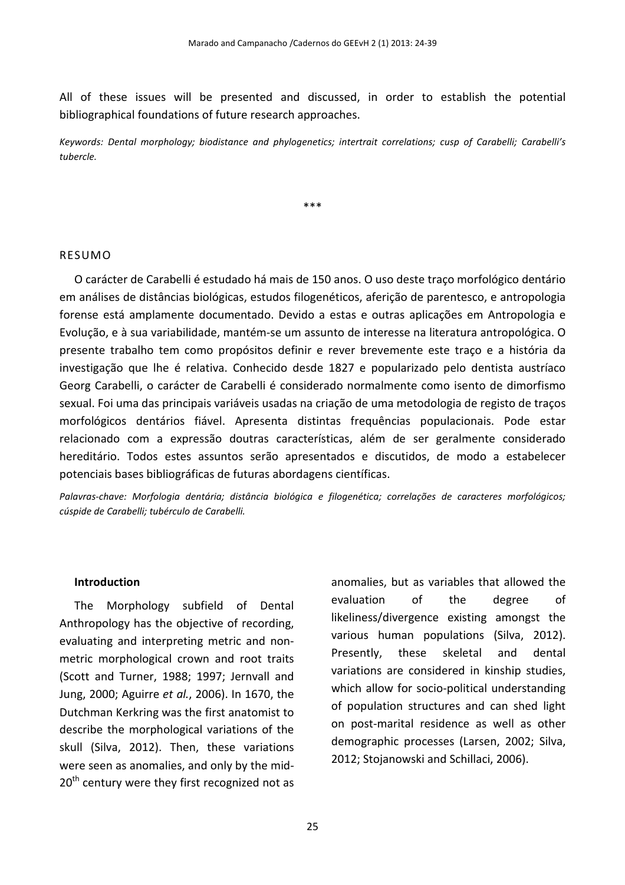All of these issues will be presented and discussed, in order to establish the potential bibliographical foundations of future research approaches.

*Keywords: Dental morphology; biodistance and phylogenetics; intertrait correlations; cusp of Carabelli; Carabelli's tubercle.*

\*\*\*

#### RESUMO

O carácter de Carabelli é estudado há mais de 150 anos. O uso deste traço morfológico dentário em análises de distâncias biológicas, estudos filogenéticos, aferição de parentesco, e antropologia forense está amplamente documentado. Devido a estas e outras aplicações em Antropologia e Evolução, e à sua variabilidade, mantém-se um assunto de interesse na literatura antropológica. O presente trabalho tem como propósitos definir e rever brevemente este traço e a história da investigação que lhe é relativa. Conhecido desde 1827 e popularizado pelo dentista austríaco Georg Carabelli, o carácter de Carabelli é considerado normalmente como isento de dimorfismo sexual. Foi uma das principais variáveis usadas na criação de uma metodologia de registo de traços morfológicos dentários fiável. Apresenta distintas frequências populacionais. Pode estar relacionado com a expressão doutras características, além de ser geralmente considerado hereditário. Todos estes assuntos serão apresentados e discutidos, de modo a estabelecer potenciais bases bibliográficas de futuras abordagens científicas.

*Palavras-chave: Morfologia dentária; distância biológica e filogenética; correlações de caracteres morfológicos; cúspide de Carabelli; tubérculo de Carabelli.*

#### **Introduction**

The Morphology subfield of Dental Anthropology has the objective of recording, evaluating and interpreting metric and nonmetric morphological crown and root traits (Scott and Turner, 1988; 1997; Jernvall and Jung, 2000; Aguirre *et al.*, 2006). In 1670, the Dutchman Kerkring was the first anatomist to describe the morphological variations of the skull (Silva, 2012). Then, these variations were seen as anomalies, and only by the mid- $20<sup>th</sup>$  century were they first recognized not as anomalies, but as variables that allowed the evaluation of the degree of likeliness/divergence existing amongst the various human populations (Silva, 2012). Presently, these skeletal and dental variations are considered in kinship studies, which allow for socio-political understanding of population structures and can shed light on post-marital residence as well as other demographic processes (Larsen, 2002; Silva, 2012; Stojanowski and Schillaci, 2006).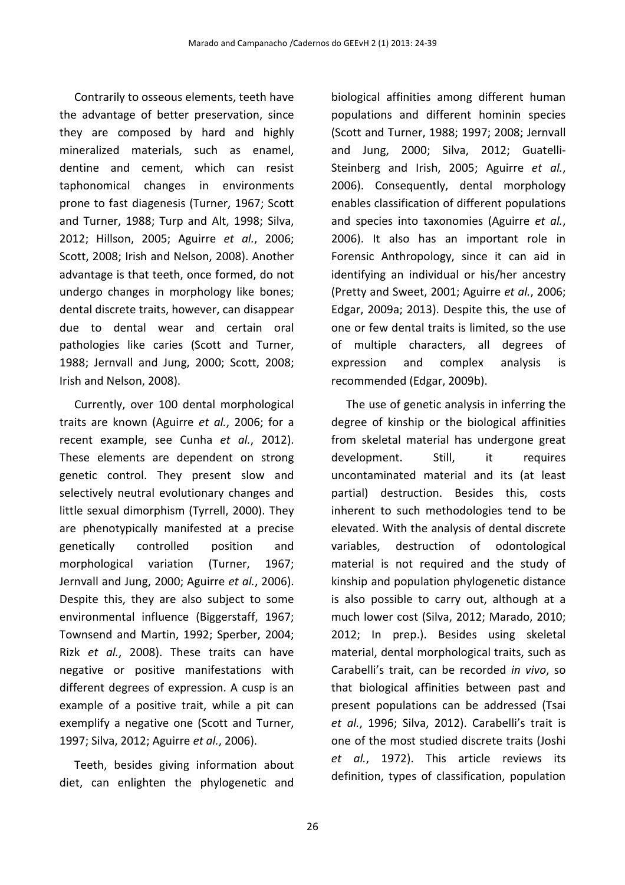Contrarily to osseous elements, teeth have the advantage of better preservation, since they are composed by hard and highly mineralized materials, such as enamel, dentine and cement, which can resist taphonomical changes in environments prone to fast diagenesis (Turner, 1967; Scott and Turner, 1988; Turp and Alt, 1998; Silva, 2012; Hillson, 2005; Aguirre *et al.*, 2006; Scott, 2008; Irish and Nelson, 2008). Another advantage is that teeth, once formed, do not undergo changes in morphology like bones; dental discrete traits, however, can disappear due to dental wear and certain oral pathologies like caries (Scott and Turner, 1988; Jernvall and Jung, 2000; Scott, 2008; Irish and Nelson, 2008).

Currently, over 100 dental morphological traits are known (Aguirre *et al.*, 2006; for a recent example, see Cunha *et al.*, 2012). These elements are dependent on strong genetic control. They present slow and selectively neutral evolutionary changes and little sexual dimorphism (Tyrrell, 2000). They are phenotypically manifested at a precise genetically controlled position and morphological variation (Turner, 1967; Jernvall and Jung, 2000; Aguirre *et al.*, 2006). Despite this, they are also subject to some environmental influence (Biggerstaff, 1967; Townsend and Martin, 1992; Sperber, 2004; Rizk *et al.*, 2008). These traits can have negative or positive manifestations with different degrees of expression. A cusp is an example of a positive trait, while a pit can exemplify a negative one (Scott and Turner, 1997; Silva, 2012; Aguirre *et al.*, 2006).

Teeth, besides giving information about diet, can enlighten the phylogenetic and biological affinities among different human populations and different hominin species (Scott and Turner, 1988; 1997; 2008; Jernvall and Jung, 2000; Silva, 2012; Guatelli-Steinberg and Irish, 2005; Aguirre *et al.*, 2006). Consequently, dental morphology enables classification of different populations and species into taxonomies (Aguirre *et al.*, 2006). It also has an important role in Forensic Anthropology, since it can aid in identifying an individual or his/her ancestry (Pretty and Sweet, 2001; Aguirre *et al.*, 2006; Edgar, 2009a; 2013). Despite this, the use of one or few dental traits is limited, so the use of multiple characters, all degrees of expression and complex analysis is recommended (Edgar, 2009b).

The use of genetic analysis in inferring the degree of kinship or the biological affinities from skeletal material has undergone great development. Still, it requires uncontaminated material and its (at least partial) destruction. Besides this, costs inherent to such methodologies tend to be elevated. With the analysis of dental discrete variables, destruction of odontological material is not required and the study of kinship and population phylogenetic distance is also possible to carry out, although at a much lower cost (Silva, 2012; Marado, 2010; 2012; In prep.). Besides using skeletal material, dental morphological traits, such as Carabelli's trait, can be recorded *in vivo*, so that biological affinities between past and present populations can be addressed (Tsai *et al.*, 1996; Silva, 2012). Carabelli's trait is one of the most studied discrete traits (Joshi *et al.*, 1972). This article reviews its definition, types of classification, population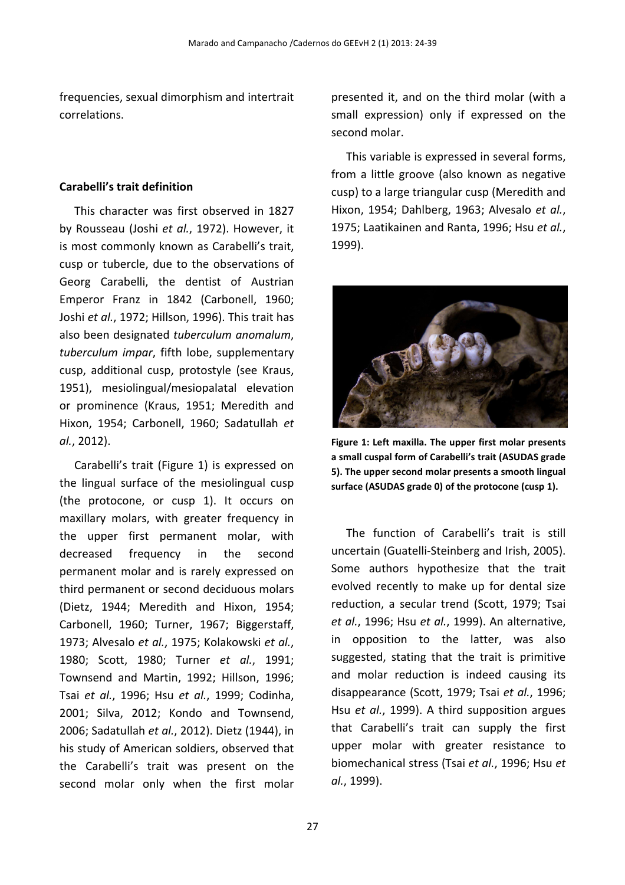frequencies, sexual dimorphism and intertrait correlations.

#### **Carabelli's trait definition**

This character was first observed in 1827 by Rousseau (Joshi *et al.*, 1972). However, it is most commonly known as Carabelli's trait, cusp or tubercle, due to the observations of Georg Carabelli, the dentist of Austrian Emperor Franz in 1842 (Carbonell, 1960; Joshi *et al.*, 1972; Hillson, 1996). This trait has also been designated *tuberculum anomalum*, *tuberculum impar*, fifth lobe, supplementary cusp, additional cusp, protostyle (see Kraus, 1951), mesiolingual/mesiopalatal elevation or prominence (Kraus, 1951; Meredith and Hixon, 1954; Carbonell, 1960; Sadatullah *et al.*, 2012).

Carabelli's trait (Figure 1) is expressed on the lingual surface of the mesiolingual cusp (the protocone, or cusp 1). It occurs on maxillary molars, with greater frequency in the upper first permanent molar, with decreased frequency in the second permanent molar and is rarely expressed on third permanent or second deciduous molars (Dietz, 1944; Meredith and Hixon, 1954; Carbonell, 1960; Turner, 1967; Biggerstaff, 1973; Alvesalo *et al.*, 1975; Kolakowski *et al.*, 1980; Scott, 1980; Turner *et al.*, 1991; Townsend and Martin, 1992; Hillson, 1996; Tsai *et al.*, 1996; Hsu *et al.*, 1999; Codinha, 2001; Silva, 2012; Kondo and Townsend, 2006; Sadatullah *et al.*, 2012). Dietz (1944), in his study of American soldiers, observed that the Carabelli's trait was present on the second molar only when the first molar presented it, and on the third molar (with a small expression) only if expressed on the second molar.

This variable is expressed in several forms, from a little groove (also known as negative cusp) to a large triangular cusp (Meredith and Hixon, 1954; Dahlberg, 1963; Alvesalo *et al.*, 1975; Laatikainen and Ranta, 1996; Hsu *et al.*, 1999).



**Figure 1: Left maxilla. The upper first molar presents a small cuspal form of Carabelli's trait (ASUDAS grade 5). The upper second molar presents a smooth lingual surface (ASUDAS grade 0) of the protocone (cusp 1).**

The function of Carabelli's trait is still uncertain (Guatelli-Steinberg and Irish, 2005). Some authors hypothesize that the trait evolved recently to make up for dental size reduction, a secular trend (Scott, 1979; Tsai *et al.*, 1996; Hsu *et al.*, 1999). An alternative, in opposition to the latter, was also suggested, stating that the trait is primitive and molar reduction is indeed causing its disappearance (Scott, 1979; Tsai *et al.*, 1996; Hsu *et al.*, 1999). A third supposition argues that Carabelli's trait can supply the first upper molar with greater resistance to biomechanical stress (Tsai *et al.*, 1996; Hsu *et al.*, 1999).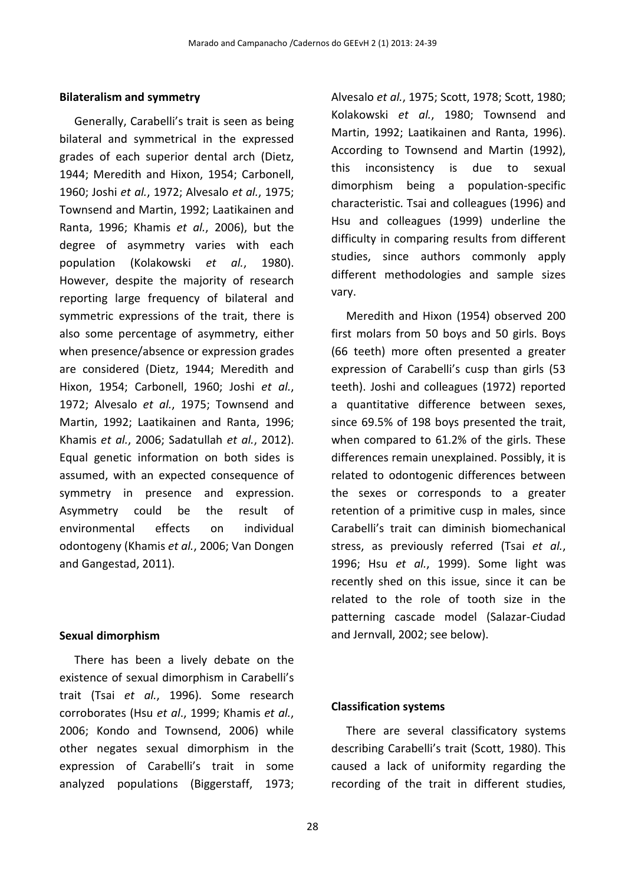#### **Bilateralism and symmetry**

Generally, Carabelli's trait is seen as being bilateral and symmetrical in the expressed grades of each superior dental arch (Dietz, 1944; Meredith and Hixon, 1954; Carbonell, 1960; Joshi *et al.*, 1972; Alvesalo *et al.*, 1975; Townsend and Martin, 1992; Laatikainen and Ranta, 1996; Khamis *et al.*, 2006), but the degree of asymmetry varies with each population (Kolakowski *et al.*, 1980). However, despite the majority of research reporting large frequency of bilateral and symmetric expressions of the trait, there is also some percentage of asymmetry, either when presence/absence or expression grades are considered (Dietz, 1944; Meredith and Hixon, 1954; Carbonell, 1960; Joshi *et al.*, 1972; Alvesalo *et al.*, 1975; Townsend and Martin, 1992; Laatikainen and Ranta, 1996; Khamis *et al.*, 2006; Sadatullah *et al.*, 2012). Equal genetic information on both sides is assumed, with an expected consequence of symmetry in presence and expression. Asymmetry could be the result of environmental effects on individual odontogeny (Khamis *et al.*, 2006; Van Dongen and Gangestad, 2011).

#### **Sexual dimorphism**

There has been a lively debate on the existence of sexual dimorphism in Carabelli's trait (Tsai *et al.*, 1996). Some research corroborates (Hsu *et al*., 1999; Khamis *et al.*, 2006; Kondo and Townsend, 2006) while other negates sexual dimorphism in the expression of Carabelli's trait in some analyzed populations (Biggerstaff, 1973; Alvesalo *et al.*, 1975; Scott, 1978; Scott, 1980; Kolakowski *et al.*, 1980; Townsend and Martin, 1992; Laatikainen and Ranta, 1996). According to Townsend and Martin (1992), this inconsistency is due to sexual dimorphism being a population-specific characteristic. Tsai and colleagues (1996) and Hsu and colleagues (1999) underline the difficulty in comparing results from different studies, since authors commonly apply different methodologies and sample sizes vary.

Meredith and Hixon (1954) observed 200 first molars from 50 boys and 50 girls. Boys (66 teeth) more often presented a greater expression of Carabelli's cusp than girls (53 teeth). Joshi and colleagues (1972) reported a quantitative difference between sexes, since 69.5% of 198 boys presented the trait, when compared to 61.2% of the girls. These differences remain unexplained. Possibly, it is related to odontogenic differences between the sexes or corresponds to a greater retention of a primitive cusp in males, since Carabelli's trait can diminish biomechanical stress, as previously referred (Tsai *et al.*, 1996; Hsu *et al.*, 1999). Some light was recently shed on this issue, since it can be related to the role of tooth size in the patterning cascade model (Salazar-Ciudad and Jernvall, 2002; see below).

#### **Classification systems**

There are several classificatory systems describing Carabelli's trait (Scott, 1980). This caused a lack of uniformity regarding the recording of the trait in different studies,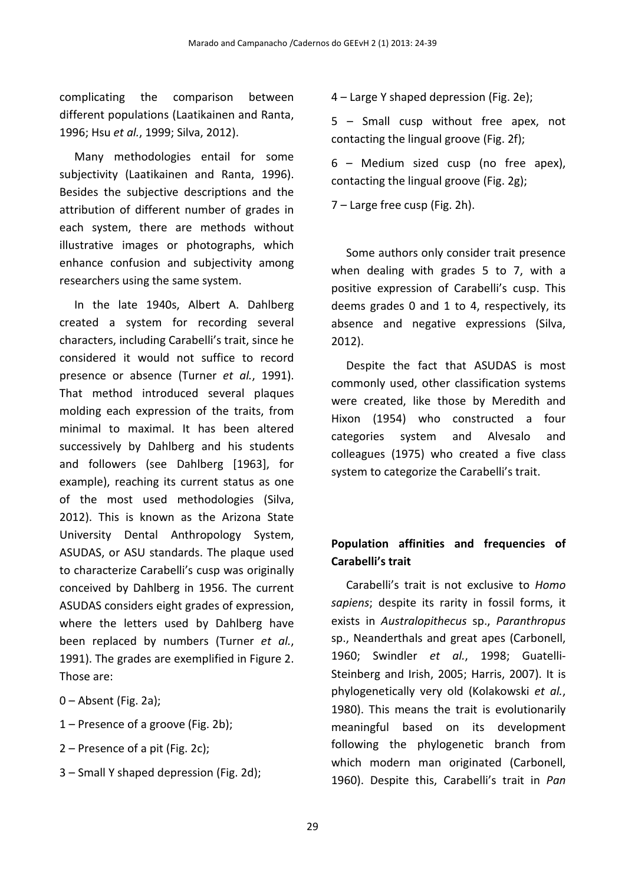complicating the comparison between different populations (Laatikainen and Ranta, 1996; Hsu *et al.*, 1999; Silva, 2012).

Many methodologies entail for some subjectivity (Laatikainen and Ranta, 1996). Besides the subjective descriptions and the attribution of different number of grades in each system, there are methods without illustrative images or photographs, which enhance confusion and subjectivity among researchers using the same system.

In the late 1940s, Albert A. Dahlberg created a system for recording several characters, including Carabelli's trait, since he considered it would not suffice to record presence or absence (Turner *et al.*, 1991). That method introduced several plaques molding each expression of the traits, from minimal to maximal. It has been altered successively by Dahlberg and his students and followers (see Dahlberg [1963], for example), reaching its current status as one of the most used methodologies (Silva, 2012). This is known as the Arizona State University Dental Anthropology System, ASUDAS, or ASU standards. The plaque used to characterize Carabelli's cusp was originally conceived by Dahlberg in 1956. The current ASUDAS considers eight grades of expression, where the letters used by Dahlberg have been replaced by numbers (Turner *et al.*, 1991). The grades are exemplified in Figure 2. Those are:

- 0 Absent (Fig. 2a);
- 1 Presence of a groove (Fig. 2b);
- 2 Presence of a pit (Fig. 2c);
- 3 Small Y shaped depression (Fig. 2d);

4 – Large Y shaped depression (Fig. 2e);

5 – Small cusp without free apex, not contacting the lingual groove (Fig. 2f);

6 – Medium sized cusp (no free apex), contacting the lingual groove (Fig. 2g);

7 – Large free cusp (Fig. 2h).

Some authors only consider trait presence when dealing with grades 5 to 7, with a positive expression of Carabelli's cusp. This deems grades 0 and 1 to 4, respectively, its absence and negative expressions (Silva, 2012).

Despite the fact that ASUDAS is most commonly used, other classification systems were created, like those by Meredith and Hixon (1954) who constructed a four categories system and Alvesalo and colleagues (1975) who created a five class system to categorize the Carabelli's trait.

### **Population affinities and frequencies of Carabelli's trait**

Carabelli's trait is not exclusive to *Homo sapiens*; despite its rarity in fossil forms, it exists in *Australopithecus* sp., *Paranthropus* sp., Neanderthals and great apes (Carbonell, 1960; Swindler *et al.*, 1998; Guatelli-Steinberg and Irish, 2005; Harris, 2007). It is phylogenetically very old (Kolakowski *et al.*, 1980). This means the trait is evolutionarily meaningful based on its development following the phylogenetic branch from which modern man originated (Carbonell, 1960). Despite this, Carabelli's trait in *Pan*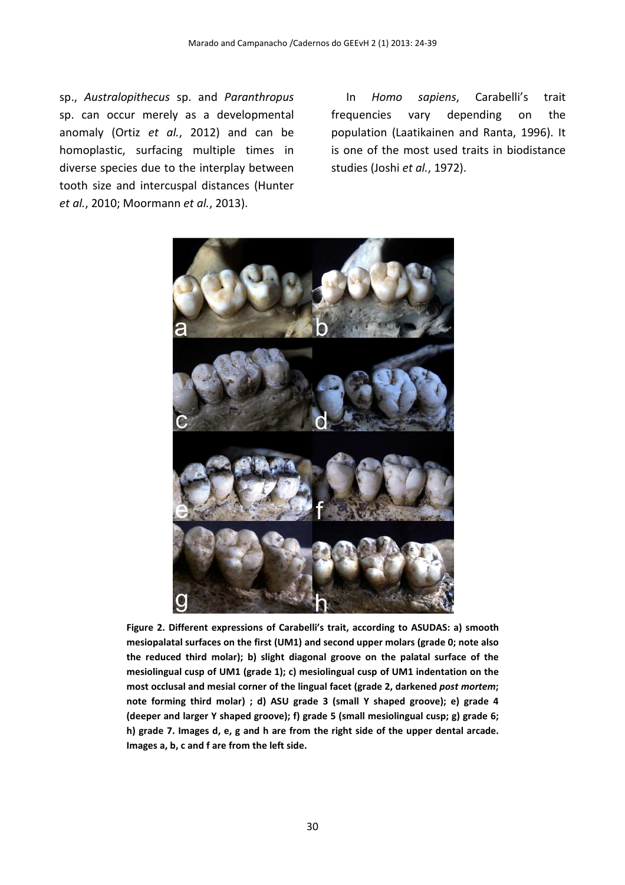sp., *Australopithecus* sp. and *Paranthropus* sp. can occur merely as a developmental anomaly (Ortiz *et al.*, 2012) and can be homoplastic, surfacing multiple times in diverse species due to the interplay between tooth size and intercuspal distances (Hunter *et al.*, 2010; Moormann *et al.*, 2013).

In *Homo sapiens*, Carabelli's trait frequencies vary depending on the population (Laatikainen and Ranta, 1996). It is one of the most used traits in biodistance studies (Joshi *et al.*, 1972).



**Figure 2. Different expressions of Carabelli's trait, according to ASUDAS: a) smooth mesiopalatal surfaces on the first (UM1) and second upper molars (grade 0; note also the reduced third molar); b) slight diagonal groove on the palatal surface of the mesiolingual cusp of UM1 (grade 1); c) mesiolingual cusp of UM1 indentation on the most occlusal and mesial corner of the lingual facet (grade 2, darkened** *post mortem***; note forming third molar) ; d) ASU grade 3 (small Y shaped groove); e) grade 4 (deeper and larger Y shaped groove); f) grade 5 (small mesiolingual cusp; g) grade 6; h) grade 7. Images d, e, g and h are from the right side of the upper dental arcade. Images a, b, c and f are from the left side.**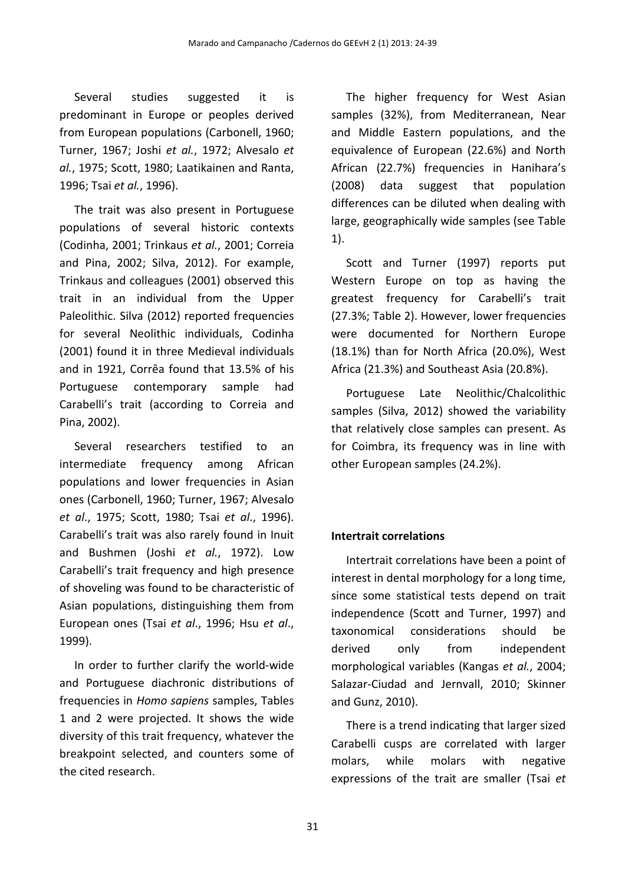Several studies suggested it is predominant in Europe or peoples derived from European populations (Carbonell, 1960; Turner, 1967; Joshi *et al.*, 1972; Alvesalo *et al.*, 1975; Scott, 1980; Laatikainen and Ranta, 1996; Tsai *et al.*, 1996).

The trait was also present in Portuguese populations of several historic contexts (Codinha, 2001; Trinkaus *et al.*, 2001; Correia and Pina, 2002; Silva, 2012). For example, Trinkaus and colleagues (2001) observed this trait in an individual from the Upper Paleolithic. Silva (2012) reported frequencies for several Neolithic individuals, Codinha (2001) found it in three Medieval individuals and in 1921, Corrêa found that 13.5% of his Portuguese contemporary sample had Carabelli's trait (according to Correia and Pina, 2002).

Several researchers testified to an intermediate frequency among African populations and lower frequencies in Asian ones (Carbonell, 1960; Turner, 1967; Alvesalo *et al*., 1975; Scott, 1980; Tsai *et al*., 1996). Carabelli's trait was also rarely found in Inuit and Bushmen (Joshi *et al.*, 1972). Low Carabelli's trait frequency and high presence of shoveling was found to be characteristic of Asian populations, distinguishing them from European ones (Tsai *et al*., 1996; Hsu *et al*., 1999).

In order to further clarify the world-wide and Portuguese diachronic distributions of frequencies in *Homo sapiens* samples, Tables 1 and 2 were projected. It shows the wide diversity of this trait frequency, whatever the breakpoint selected, and counters some of the cited research.

The higher frequency for West Asian samples (32%), from Mediterranean, Near and Middle Eastern populations, and the equivalence of European (22.6%) and North African (22.7%) frequencies in Hanihara's (2008) data suggest that population differences can be diluted when dealing with large, geographically wide samples (see Table 1).

Scott and Turner (1997) reports put Western Europe on top as having the greatest frequency for Carabelli's trait (27.3%; Table 2). However, lower frequencies were documented for Northern Europe (18.1%) than for North Africa (20.0%), West Africa (21.3%) and Southeast Asia (20.8%).

Portuguese Late Neolithic/Chalcolithic samples (Silva, 2012) showed the variability that relatively close samples can present. As for Coimbra, its frequency was in line with other European samples (24.2%).

#### **Intertrait correlations**

Intertrait correlations have been a point of interest in dental morphology for a long time, since some statistical tests depend on trait independence (Scott and Turner, 1997) and taxonomical considerations should be derived only from independent morphological variables (Kangas *et al.*, 2004; Salazar-Ciudad and Jernvall, 2010; Skinner and Gunz, 2010).

There is a trend indicating that larger sized Carabelli cusps are correlated with larger molars, while molars with negative expressions of the trait are smaller (Tsai *et*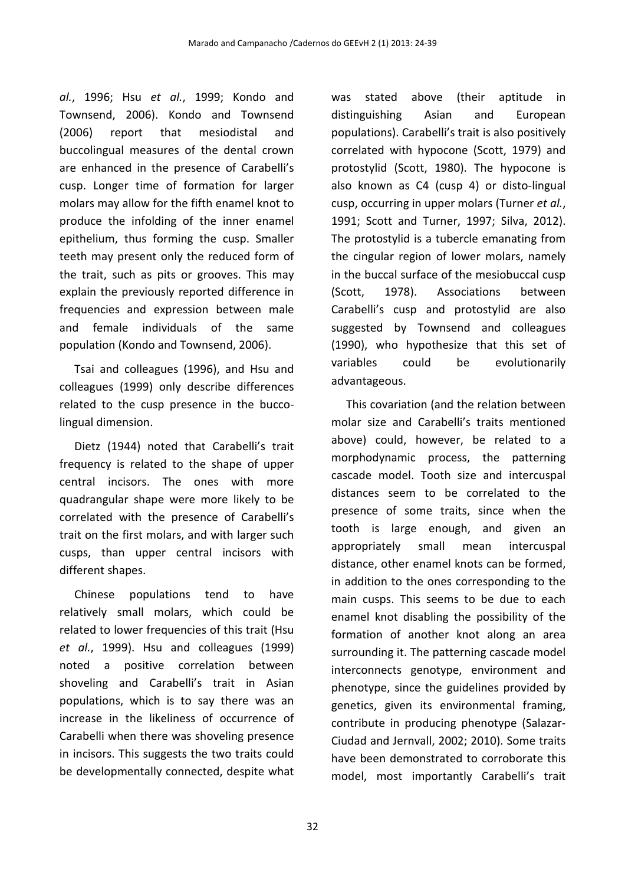*al.*, 1996; Hsu *et al.*, 1999; Kondo and Townsend, 2006). Kondo and Townsend (2006) report that mesiodistal and buccolingual measures of the dental crown are enhanced in the presence of Carabelli's cusp. Longer time of formation for larger molars may allow for the fifth enamel knot to produce the infolding of the inner enamel epithelium, thus forming the cusp. Smaller teeth may present only the reduced form of the trait, such as pits or grooves. This may explain the previously reported difference in frequencies and expression between male and female individuals of the same population (Kondo and Townsend, 2006).

Tsai and colleagues (1996), and Hsu and colleagues (1999) only describe differences related to the cusp presence in the buccolingual dimension.

Dietz (1944) noted that Carabelli's trait frequency is related to the shape of upper central incisors. The ones with more quadrangular shape were more likely to be correlated with the presence of Carabelli's trait on the first molars, and with larger such cusps, than upper central incisors with different shapes.

Chinese populations tend to have relatively small molars, which could be related to lower frequencies of this trait (Hsu *et al.*, 1999). Hsu and colleagues (1999) noted a positive correlation between shoveling and Carabelli's trait in Asian populations, which is to say there was an increase in the likeliness of occurrence of Carabelli when there was shoveling presence in incisors. This suggests the two traits could be developmentally connected, despite what was stated above (their aptitude in distinguishing Asian and European populations). Carabelli's trait is also positively correlated with hypocone (Scott, 1979) and protostylid (Scott, 1980). The hypocone is also known as C4 (cusp 4) or disto-lingual cusp, occurring in upper molars (Turner *et al.*, 1991; Scott and Turner, 1997; Silva, 2012). The protostylid is a tubercle emanating from the cingular region of lower molars, namely in the buccal surface of the mesiobuccal cusp (Scott, 1978). Associations between Carabelli's cusp and protostylid are also suggested by Townsend and colleagues (1990), who hypothesize that this set of variables could be evolutionarily advantageous.

This covariation (and the relation between molar size and Carabelli's traits mentioned above) could, however, be related to a morphodynamic process, the patterning cascade model. Tooth size and intercuspal distances seem to be correlated to the presence of some traits, since when the tooth is large enough, and given an appropriately small mean intercuspal distance, other enamel knots can be formed, in addition to the ones corresponding to the main cusps. This seems to be due to each enamel knot disabling the possibility of the formation of another knot along an area surrounding it. The patterning cascade model interconnects genotype, environment and phenotype, since the guidelines provided by genetics, given its environmental framing, contribute in producing phenotype (Salazar-Ciudad and Jernvall, 2002; 2010). Some traits have been demonstrated to corroborate this model, most importantly Carabelli's trait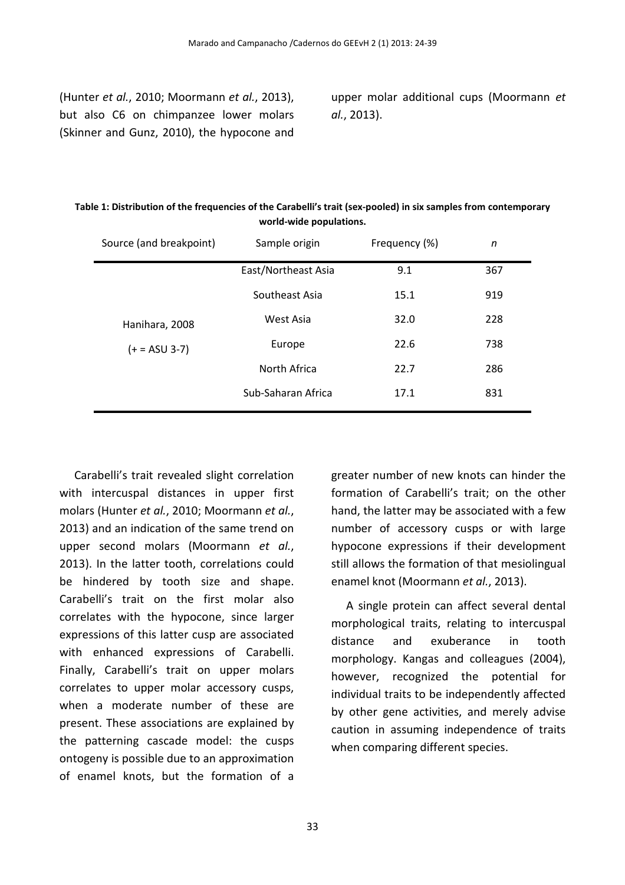(Hunter *et al.*, 2010; Moormann *et al.*, 2013), but also C6 on chimpanzee lower molars (Skinner and Gunz, 2010), the hypocone and upper molar additional cups (Moormann *et al.*, 2013).

| Source (and breakpoint) | Sample origin       | Frequency (%) | n   |
|-------------------------|---------------------|---------------|-----|
|                         | East/Northeast Asia | 9.1           | 367 |
| Hanihara, 2008          | Southeast Asia      | 15.1          | 919 |
|                         | West Asia           | 32.0          | 228 |
| $(+ = ASU 3-7)$         | Europe              | 22.6          | 738 |
|                         | North Africa        | 22.7          | 286 |
|                         | Sub-Saharan Africa  | 17.1          | 831 |

**Table 1: Distribution of the frequencies of the Carabelli's trait (sex-pooled) in six samples from contemporary world-wide populations.** 

Carabelli's trait revealed slight correlation with intercuspal distances in upper first molars (Hunter *et al.*, 2010; Moormann *et al.*, 2013) and an indication of the same trend on upper second molars (Moormann *et al.*, 2013). In the latter tooth, correlations could be hindered by tooth size and shape. Carabelli's trait on the first molar also correlates with the hypocone, since larger expressions of this latter cusp are associated with enhanced expressions of Carabelli. Finally, Carabelli's trait on upper molars correlates to upper molar accessory cusps, when a moderate number of these are present. These associations are explained by the patterning cascade model: the cusps ontogeny is possible due to an approximation of enamel knots, but the formation of a

greater number of new knots can hinder the formation of Carabelli's trait; on the other hand, the latter may be associated with a few number of accessory cusps or with large hypocone expressions if their development still allows the formation of that mesiolingual enamel knot (Moormann *et al.*, 2013).

A single protein can affect several dental morphological traits, relating to intercuspal distance and exuberance in tooth morphology. Kangas and colleagues (2004), however, recognized the potential for individual traits to be independently affected by other gene activities, and merely advise caution in assuming independence of traits when comparing different species.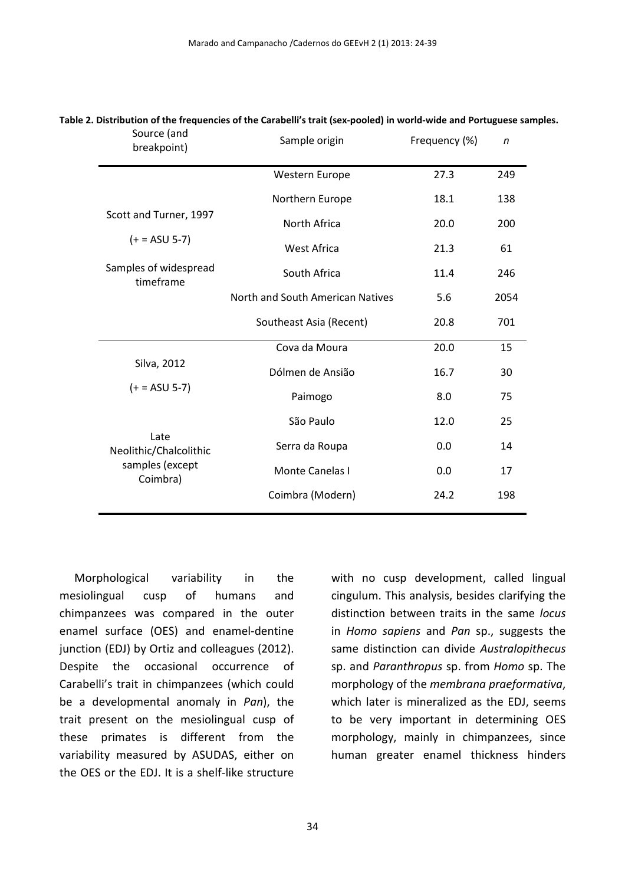| breakpoint)                                                   | Source (and<br>Sample origin     |      | $\mathsf{n}$ |
|---------------------------------------------------------------|----------------------------------|------|--------------|
|                                                               | Western Europe                   | 27.3 | 249          |
| Scott and Turner, 1997<br>$(+ = ASU 5-7)$                     | Northern Europe                  | 18.1 | 138          |
|                                                               | North Africa                     | 20.0 | 200          |
|                                                               | <b>West Africa</b>               | 21.3 | 61           |
| Samples of widespread<br>timeframe                            | South Africa                     | 11.4 | 246          |
|                                                               | North and South American Natives | 5.6  | 2054         |
|                                                               | Southeast Asia (Recent)          | 20.8 | 701          |
| Silva, 2012<br>$(+ = ASU 5-7)$                                | Cova da Moura                    | 20.0 | 15           |
|                                                               | Dólmen de Ansião                 | 16.7 | 30           |
|                                                               | Paimogo                          | 8.0  | 75           |
| Late<br>Neolithic/Chalcolithic<br>samples (except<br>Coimbra) | São Paulo                        | 12.0 | 25           |
|                                                               | Serra da Roupa                   | 0.0  | 14           |
|                                                               | Monte Canelas I                  | 0.0  | 17           |
|                                                               | Coimbra (Modern)                 | 24.2 | 198          |
|                                                               |                                  |      |              |

#### **Table 2. Distribution of the frequencies of the Carabelli's trait (sex-pooled) in world-wide and Portuguese samples.**  Source (and

Morphological variability in the mesiolingual cusp of humans and chimpanzees was compared in the outer enamel surface (OES) and enamel-dentine junction (EDJ) by Ortiz and colleagues (2012). Despite the occasional occurrence of Carabelli's trait in chimpanzees (which could be a developmental anomaly in *Pan*), the trait present on the mesiolingual cusp of these primates is different from the variability measured by ASUDAS, either on the OES or the EDJ. It is a shelf-like structure

with no cusp development, called lingual cingulum. This analysis, besides clarifying the distinction between traits in the same *locus* in *Homo sapiens* and *Pan* sp., suggests the same distinction can divide *Australopithecus* sp. and *Paranthropus* sp. from *Homo* sp. The morphology of the *membrana praeformativa*, which later is mineralized as the EDJ, seems to be very important in determining OES morphology, mainly in chimpanzees, since human greater enamel thickness hinders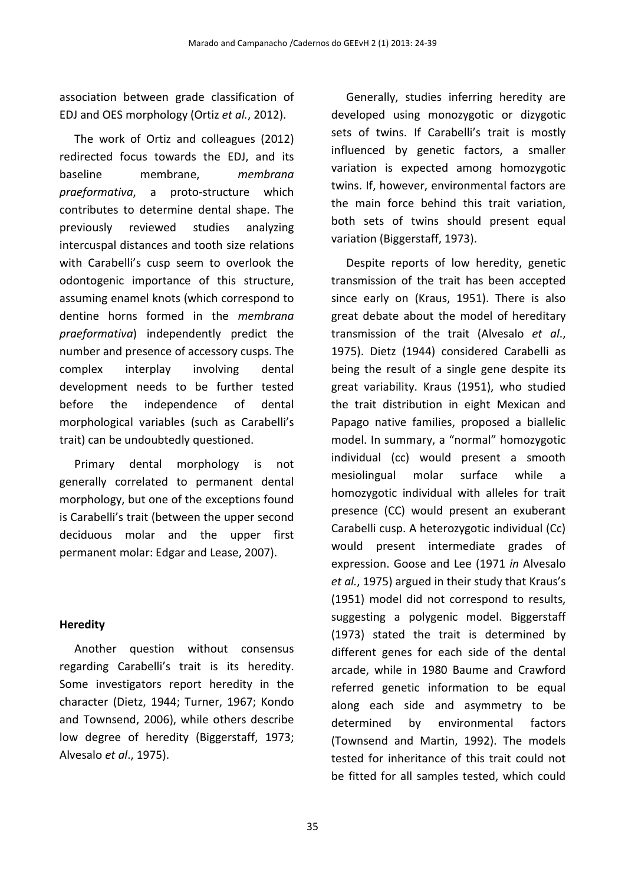association between grade classification of EDJ and OES morphology (Ortiz *et al.*, 2012).

The work of Ortiz and colleagues (2012) redirected focus towards the EDJ, and its baseline membrane, *membrana praeformativa*, a proto-structure which contributes to determine dental shape. The previously reviewed studies analyzing intercuspal distances and tooth size relations with Carabelli's cusp seem to overlook the odontogenic importance of this structure, assuming enamel knots (which correspond to dentine horns formed in the *membrana praeformativa*) independently predict the number and presence of accessory cusps. The complex interplay involving dental development needs to be further tested before the independence of dental morphological variables (such as Carabelli's trait) can be undoubtedly questioned.

Primary dental morphology is not generally correlated to permanent dental morphology, but one of the exceptions found is Carabelli's trait (between the upper second deciduous molar and the upper first permanent molar: Edgar and Lease, 2007).

#### **Heredity**

Another question without consensus regarding Carabelli's trait is its heredity. Some investigators report heredity in the character (Dietz, 1944; Turner, 1967; Kondo and Townsend, 2006), while others describe low degree of heredity (Biggerstaff, 1973; Alvesalo *et al*., 1975).

Generally, studies inferring heredity are developed using monozygotic or dizygotic sets of twins. If Carabelli's trait is mostly influenced by genetic factors, a smaller variation is expected among homozygotic twins. If, however, environmental factors are the main force behind this trait variation, both sets of twins should present equal variation (Biggerstaff, 1973).

Despite reports of low heredity, genetic transmission of the trait has been accepted since early on (Kraus, 1951). There is also great debate about the model of hereditary transmission of the trait (Alvesalo *et al*., 1975). Dietz (1944) considered Carabelli as being the result of a single gene despite its great variability. Kraus (1951), who studied the trait distribution in eight Mexican and Papago native families, proposed a biallelic model. In summary, a "normal" homozygotic individual (cc) would present a smooth mesiolingual molar surface while a homozygotic individual with alleles for trait presence (CC) would present an exuberant Carabelli cusp. A heterozygotic individual (Cc) would present intermediate grades of expression. Goose and Lee (1971 *in* Alvesalo *et al.*, 1975) argued in their study that Kraus's (1951) model did not correspond to results, suggesting a polygenic model. Biggerstaff (1973) stated the trait is determined by different genes for each side of the dental arcade, while in 1980 Baume and Crawford referred genetic information to be equal along each side and asymmetry to be determined by environmental factors (Townsend and Martin, 1992). The models tested for inheritance of this trait could not be fitted for all samples tested, which could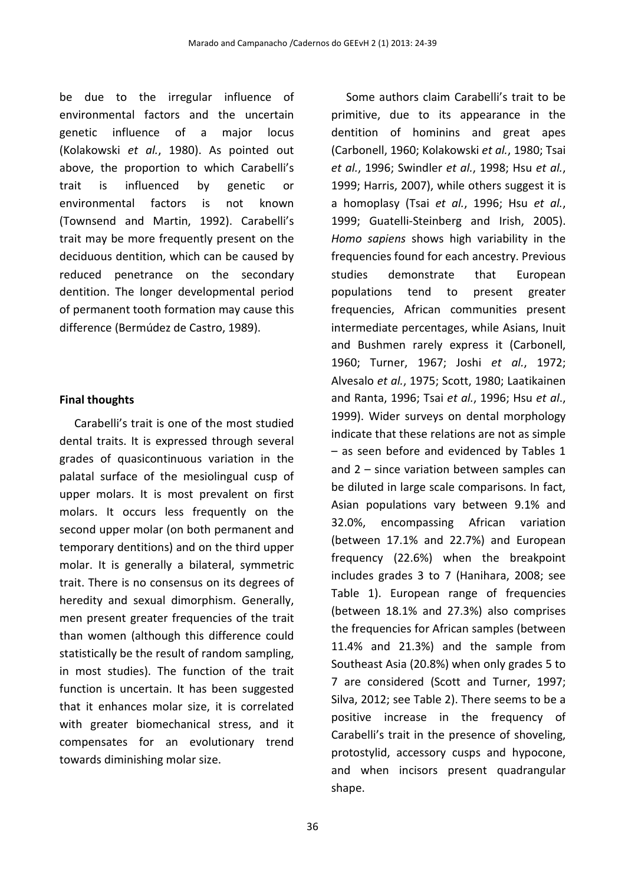be due to the irregular influence of environmental factors and the uncertain genetic influence of a major locus (Kolakowski *et al.*, 1980). As pointed out above, the proportion to which Carabelli's trait is influenced by genetic or environmental factors is not known (Townsend and Martin, 1992). Carabelli's trait may be more frequently present on the deciduous dentition, which can be caused by reduced penetrance on the secondary dentition. The longer developmental period of permanent tooth formation may cause this difference (Bermúdez de Castro, 1989).

#### **Final thoughts**

Carabelli's trait is one of the most studied dental traits. It is expressed through several grades of quasicontinuous variation in the palatal surface of the mesiolingual cusp of upper molars. It is most prevalent on first molars. It occurs less frequently on the second upper molar (on both permanent and temporary dentitions) and on the third upper molar. It is generally a bilateral, symmetric trait. There is no consensus on its degrees of heredity and sexual dimorphism. Generally, men present greater frequencies of the trait than women (although this difference could statistically be the result of random sampling, in most studies). The function of the trait function is uncertain. It has been suggested that it enhances molar size, it is correlated with greater biomechanical stress, and it compensates for an evolutionary trend towards diminishing molar size.

dentition of hominins and great apes (Carbonell, 1960; Kolakowski *et al.*, 1980; Tsai *et al.*, 1996; Swindler *et al.*, 1998; Hsu *et al.*, 1999; Harris, 2007), while others suggest it is a homoplasy (Tsai *et al.*, 1996; Hsu *et al.*, 1999; Guatelli-Steinberg and Irish, 2005). *Homo sapiens* shows high variability in the frequencies found for each ancestry. Previous studies demonstrate that European populations tend to present greater frequencies, African communities present intermediate percentages, while Asians, Inuit and Bushmen rarely express it (Carbonell, 1960; Turner, 1967; Joshi *et al.*, 1972; Alvesalo *et al.*, 1975; Scott, 1980; Laatikainen and Ranta, 1996; Tsai *et al.*, 1996; Hsu *et al*., 1999). Wider surveys on dental morphology indicate that these relations are not as simple – as seen before and evidenced by Tables 1 and 2 – since variation between samples can be diluted in large scale comparisons. In fact, Asian populations vary between 9.1% and 32.0%, encompassing African variation (between 17.1% and 22.7%) and European frequency (22.6%) when the breakpoint includes grades 3 to 7 (Hanihara, 2008; see Table 1). European range of frequencies (between 18.1% and 27.3%) also comprises the frequencies for African samples (between 11.4% and 21.3%) and the sample from Southeast Asia (20.8%) when only grades 5 to 7 are considered (Scott and Turner, 1997; Silva, 2012; see Table 2). There seems to be a positive increase in the frequency of Carabelli's trait in the presence of shoveling, protostylid, accessory cusps and hypocone, and when incisors present quadrangular shape.

Some authors claim Carabelli's trait to be primitive, due to its appearance in the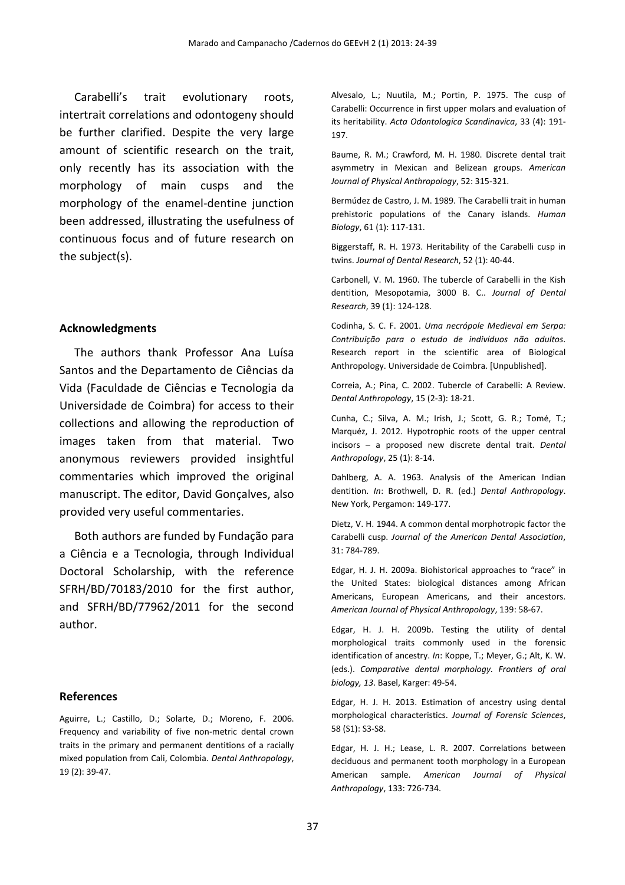Carabelli's trait evolutionary roots, intertrait correlations and odontogeny should be further clarified. Despite the very large amount of scientific research on the trait, only recently has its association with the morphology of main cusps and the morphology of the enamel-dentine junction been addressed, illustrating the usefulness of continuous focus and of future research on the subject(s).

#### **Acknowledgments**

The authors thank Professor Ana Luísa Santos and the Departamento de Ciências da Vida (Faculdade de Ciências e Tecnologia da Universidade de Coimbra) for access to their collections and allowing the reproduction of images taken from that material. Two anonymous reviewers provided insightful commentaries which improved the original manuscript. The editor, David Gonçalves, also provided very useful commentaries.

Both authors are funded by Fundação para a Ciência e a Tecnologia, through Individual Doctoral Scholarship, with the reference SFRH/BD/70183/2010 for the first author, and SFRH/BD/77962/2011 for the second author.

#### **References**

Aguirre, L.; Castillo, D.; Solarte, D.; Moreno, F. 2006. Frequency and variability of five non-metric dental crown traits in the primary and permanent dentitions of a racially mixed population from Cali, Colombia. *Dental Anthropology*, 19 (2): 39-47.

Alvesalo, L.; Nuutila, M.; Portin, P. 1975. The cusp of Carabelli: Occurrence in first upper molars and evaluation of its heritability. *Acta Odontologica Scandinavica*, 33 (4): 191- 197.

Baume, R. M.; Crawford, M. H. 1980. Discrete dental trait asymmetry in Mexican and Belizean groups. *American Journal of Physical Anthropology*, 52: 315-321.

Bermúdez de Castro, J. M. 1989. The Carabelli trait in human prehistoric populations of the Canary islands. *Human Biology*, 61 (1): 117-131.

Biggerstaff, R. H. 1973. Heritability of the Carabelli cusp in twins. *Journal of Dental Research*, 52 (1): 40-44.

Carbonell, V. M. 1960. The tubercle of Carabelli in the Kish dentition, Mesopotamia, 3000 B. C.. *Journal of Dental Research*, 39 (1): 124-128.

Codinha, S. C. F. 2001. *Uma necrópole Medieval em Serpa: Contribuição para o estudo de indivíduos não adultos*. Research report in the scientific area of Biological Anthropology. Universidade de Coimbra. [Unpublished].

Correia, A.; Pina, C. 2002. Tubercle of Carabelli: A Review. *Dental Anthropology*, 15 (2-3): 18-21.

Cunha, C.; Silva, A. M.; Irish, J.; Scott, G. R.; Tomé, T.; Marquéz, J. 2012. Hypotrophic roots of the upper central incisors – a proposed new discrete dental trait. *Dental Anthropology*, 25 (1): 8-14.

Dahlberg, A. A. 1963. Analysis of the American Indian dentition. *In*: Brothwell, D. R. (ed.) *Dental Anthropology*. New York, Pergamon: 149-177.

Dietz, V. H. 1944. A common dental morphotropic factor the Carabelli cusp. *Journal of the American Dental Association*, 31: 784-789.

Edgar, H. J. H. 2009a. Biohistorical approaches to "race" in the United States: biological distances among African Americans, European Americans, and their ancestors. *American Journal of Physical Anthropology*, 139: 58-67.

Edgar, H. J. H. 2009b. Testing the utility of dental morphological traits commonly used in the forensic identification of ancestry. *In*: Koppe, T.; Meyer, G.; Alt, K. W. (eds.). *Comparative dental morphology. Frontiers of oral biology, 13*. Basel, Karger: 49-54.

Edgar, H. J. H. 2013. Estimation of ancestry using dental morphological characteristics. *Journal of Forensic Sciences*, 58 (S1): S3-S8.

Edgar, H. J. H.; Lease, L. R. 2007. Correlations between deciduous and permanent tooth morphology in a European American sample. *American Journal of Physical Anthropology*, 133: 726-734.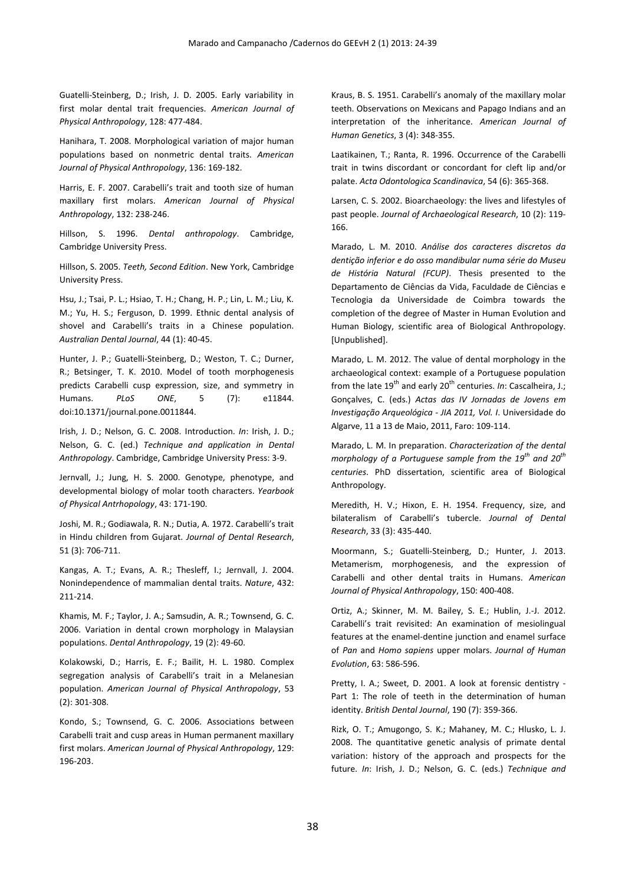Guatelli-Steinberg, D.; Irish, J. D. 2005. Early variability in first molar dental trait frequencies. *American Journal of Physical Anthropology*, 128: 477-484.

Hanihara, T. 2008. Morphological variation of major human populations based on nonmetric dental traits. *American Journal of Physical Anthropology*, 136: 169-182.

Harris, E. F. 2007. Carabelli's trait and tooth size of human maxillary first molars. *American Journal of Physical Anthropology*, 132: 238-246.

Hillson, S. 1996. *Dental anthropology*. Cambridge, Cambridge University Press.

Hillson, S. 2005. *Teeth, Second Edition*. New York, Cambridge University Press.

Hsu, J.; Tsai, P. L.; Hsiao, T. H.; Chang, H. P.; Lin, L. M.; Liu, K. M.; Yu, H. S.; Ferguson, D. 1999. Ethnic dental analysis of shovel and Carabelli's traits in a Chinese population. *Australian Dental Journal*, 44 (1): 40-45.

Hunter, J. P.; Guatelli-Steinberg, D.; Weston, T. C.; Durner, R.; Betsinger, T. K. 2010. Model of tooth morphogenesis predicts Carabelli cusp expression, size, and symmetry in Humans. *PLoS ONE*, 5 (7): e11844. doi:10.1371/journal.pone.0011844.

Irish, J. D.; Nelson, G. C. 2008. Introduction. *In*: Irish, J. D.; Nelson, G. C. (ed.) *Technique and application in Dental Anthropology*. Cambridge, Cambridge University Press: 3-9.

Jernvall, J.; Jung, H. S. 2000. Genotype, phenotype, and developmental biology of molar tooth characters. *Yearbook of Physical Antrhopology*, 43: 171-190.

Joshi, M. R.; Godiawala, R. N.; Dutia, A. 1972. Carabelli's trait in Hindu children from Gujarat. *Journal of Dental Research*, 51 (3): 706-711.

Kangas, A. T.; Evans, A. R.; Thesleff, I.; Jernvall, J. 2004. Nonindependence of mammalian dental traits. *Nature*, 432: 211-214.

Khamis, M. F.; Taylor, J. A.; Samsudin, A. R.; Townsend, G. C. 2006. Variation in dental crown morphology in Malaysian populations. *Dental Anthropology*, 19 (2): 49-60.

Kolakowski, D.; Harris, E. F.; Bailit, H. L. 1980. Complex segregation analysis of Carabelli's trait in a Melanesian population. *American Journal of Physical Anthropology*, 53 (2): 301-308.

Kondo, S.; Townsend, G. C. 2006. Associations between Carabelli trait and cusp areas in Human permanent maxillary first molars. *American Journal of Physical Anthropology*, 129: 196-203.

Kraus, B. S. 1951. Carabelli's anomaly of the maxillary molar teeth. Observations on Mexicans and Papago Indians and an interpretation of the inheritance. *American Journal of Human Genetics*, 3 (4): 348-355.

Laatikainen, T.; Ranta, R. 1996. Occurrence of the Carabelli trait in twins discordant or concordant for cleft lip and/or palate. *Acta Odontologica Scandinavica*, 54 (6): 365-368.

Larsen, C. S. 2002. Bioarchaeology: the lives and lifestyles of past people. *Journal of Archaeological Research*, 10 (2): 119- 166.

Marado, L. M. 2010. *Análise dos caracteres discretos da dentição inferior e do osso mandibular numa série do Museu de História Natural (FCUP)*. Thesis presented to the Departamento de Ciências da Vida, Faculdade de Ciências e Tecnologia da Universidade de Coimbra towards the completion of the degree of Master in Human Evolution and Human Biology, scientific area of Biological Anthropology. [Unpublished].

Marado, L. M. 2012. The value of dental morphology in the archaeological context: example of a Portuguese population from the late 19<sup>th</sup> and early 20<sup>th</sup> centuries. *In*: Cascalheira, J.; Gonçalves, C. (eds.) *Actas das IV Jornadas de Jovens em Investigação Arqueológica - JIA 2011, Vol. I*. Universidade do Algarve, 11 a 13 de Maio, 2011, Faro: 109-114.

Marado, L. M. In preparation. *Characterization of the dental morphology of a Portuguese sample from the 19th and 20th centuries*. PhD dissertation, scientific area of Biological Anthropology.

Meredith, H. V.; Hixon, E. H. 1954. Frequency, size, and bilateralism of Carabelli's tubercle. *Journal of Dental Research*, 33 (3): 435-440.

Moormann, S.; Guatelli-Steinberg, D.; Hunter, J. 2013. Metamerism, morphogenesis, and the expression of Carabelli and other dental traits in Humans. *American Journal of Physical Anthropology*, 150: 400-408.

Ortiz, A.; Skinner, M. M. Bailey, S. E.; Hublin, J.-J. 2012. Carabelli's trait revisited: An examination of mesiolingual features at the enamel-dentine junction and enamel surface of *Pan* and *Homo sapiens* upper molars. *Journal of Human Evolution*, 63: 586-596.

Pretty, I. A.; Sweet, D. 2001. A look at forensic dentistry - Part 1: The role of teeth in the determination of human identity. *British Dental Journal*, 190 (7): 359-366.

Rizk, O. T.; Amugongo, S. K.; Mahaney, M. C.; Hlusko, L. J. 2008. The quantitative genetic analysis of primate dental variation: history of the approach and prospects for the future. *In*: Irish, J. D.; Nelson, G. C. (eds.) *Technique and*